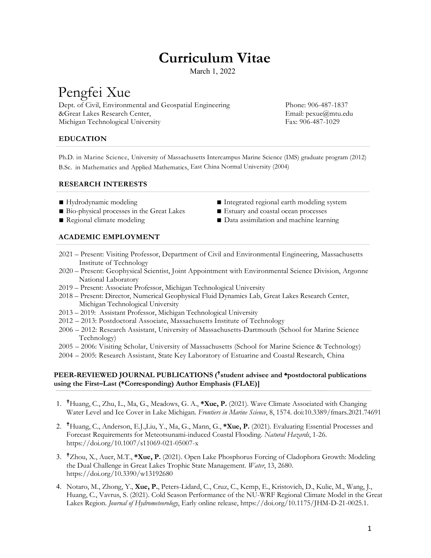# **Curriculum Vitae**

March 1, 2022

# Pengfei Xue

Dept. of Civil, Environmental and Geospatial Engineering Phone: 906-487-1837 &Great Lakes Research Center, Email: pexue@mtu.edu Michigan Technological University Fax: 906-487-1029

## **EDUCATION**

Ph.D. in Marine Science, University of Massachusetts Intercampus Marine Science (IMS) graduate program (2012) B.Sc. in Mathematics and Applied Mathematics, East China Normal University (2004)

## **RESEARCH INTERESTS**

- 
- Bio-physical processes in the Great Lakes Estuary and coastal ocean processes
- 
- Hydrodynamic modeling and a state of the last the last the modeling system
	-
- Regional climate modeling Data assimilation and machine learning

## **ACADEMIC EMPLOYMENT**

- 2021 Present: Visiting Professor, Department of Civil and Environmental Engineering, Massachusetts Institute of Technology
- 2020 Present: Geophysical Scientist, Joint Appointment with Environmental Science Division, Argonne National Laboratory
- 2019 Present: Associate Professor, Michigan Technological University
- 2018 Present: Director, Numerical Geophysical Fluid Dynamics Lab, Great Lakes Research Center, Michigan Technological University
- 2013 2019: Assistant Professor, Michigan Technological University
- 2012 2013: Postdoctoral Associate, Massachusetts Institute of Technology
- 2006 2012: Research Assistant, University of Massachusetts-Dartmouth (School for Marine Science Technology)
- 2005 2006: Visiting Scholar, University of Massachusetts (School for Marine Science & Technology)
- 2004 2005: Research Assistant, State Key Laboratory of Estuarine and Coastal Research, China

## **PEER-REVIEWED JOURNAL PUBLICATIONS (** ♱**student advisee and ♣postdoctoral publications using the First–Last (\*Corresponding) Author Emphasis (FLAE)]**

- 1. ♱Huang, C., Zhu, L., Ma, G., Meadows, G. A., **\*Xue, P.** (2021). Wave Climate Associated with Changing Water Level and Ice Cover in Lake Michigan. *Frontiers in Marine Science*, 8, 1574. doi:10.3389/fmars.2021.74691
- 2. ♱Huang, C., Anderson, E.J.,Liu, Y., Ma, G., Mann, G., **\*Xue, P.** (2021). Evaluating Essential Processes and Forecast Requirements for Meteotsunami-induced Coastal Flooding. *Natural Hazards*, 1-26. https://doi.org/10.1007/s11069-021-05007-x
- 3. ♱Zhou, X., Auer, M.T., **\*Xue, P.** (2021). Open Lake Phosphorus Forcing of Cladophora Growth: Modeling the Dual Challenge in Great Lakes Trophic State Management. *Water*, 13, 2680. https://doi.org/10.3390/w13192680
- 4. Notaro, M., Zhong, Y., **Xue, P.**, Peters-Lidard, C., Cruz, C., Kemp, E., Kristovich, D., Kulie, M., Wang, J., Huang, C., Vavrus, S. (2021). Cold Season Performance of the NU-WRF Regional Climate Model in the Great Lakes Region. *Journal of Hydrometeorology*, Early online release, https://doi.org/10.1175/JHM-D-21-0025.1.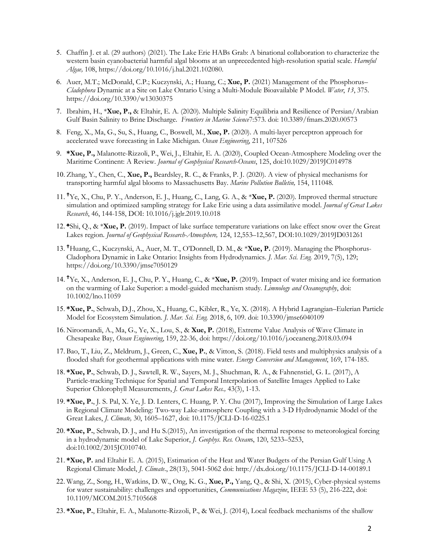- 5. Chaffin J. et al. (29 authors) (2021). The Lake Erie HABs Grab: A binational collaboration to characterize the western basin cyanobacterial harmful algal blooms at an unprecedented high-resolution spatial scale. *Harmful Algae,* 108, https://doi.org/10.1016/j.hal.2021.102080.
- 6. Auer, M.T.; McDonald, C.P.; Kuczynski, A.; Huang, C.; **Xue, P.** (2021) Management of the Phosphorus– *Cladophora* Dynamic at a Site on Lake Ontario Using a Multi-Module Bioavailable P Model. *Water*, *13*, 375. https://doi.org/10.3390/w13030375
- 7. Ibrahim, H., \***Xue, P.,** & Eltahir, E. A. (2020). Multiple Salinity Equilibria and Resilience of Persian/Arabian Gulf Basin Salinity to Brine Discharge. *Frontiers in Marine Science*7:573. doi: 10.3389/fmars.2020.00573
- 8. Feng, X., Ma, G., Su, S., Huang, C., Boswell, M., **Xue, P.** (2020). A multi-layer perceptron approach for accelerated wave forecasting in Lake Michigan. *Ocean Engineering*, 211, 107526
- 9. **\*Xue, P.,** Malanotte-Rizzoli, P., Wei, J., Eltahir, E. A. (2020), Coupled Ocean-Atmosphere Modeling over the Maritime Continent: A Review. *Journal of Geophysical Research-Oceans*, 125, doi:10.1029/2019JC014978
- 10. Zhang, Y., Chen, C., **Xue, P.,** Beardsley, R. C., & Franks, P. J. (2020). A view of physical mechanisms for transporting harmful algal blooms to Massachusetts Bay. *Marine Pollution Bulletin,* 154, 111048.
- 11. ♱Ye, X., Chu, P. Y., Anderson, E. J., Huang, C., Lang, G. A., & \***Xue, P.** (2020). Improved thermal structure simulation and optimized sampling strategy for Lake Erie using a data assimilative model. *Journal of Great Lakes Research*, 46, 144-158, DOI: 10.1016/j.jglr.2019.10.018
- 12. **♣**Shi, Q., & \***Xue, P.** (2019). Impact of lake surface temperature variations on lake effect snow over the Great Lakes region. *Journal of Geophysical Research-Atmosphere,* 124, 12,553–12,567, DOI:10.1029/2019JD031261
- 13. ♱Huang, C., Kuczynski, A., Auer, M. T., O'Donnell, D. M., & \***Xue, P.** (2019). Managing the Phosphorus-Cladophora Dynamic in Lake Ontario: Insights from Hydrodynamics. *J. Mar. Sci. Eng.* 2019, 7(5), 129; https://doi.org/10.3390/jmse7050129
- 14. ♱Ye, X., Anderson, E. J., Chu, P. Y., Huang, C., & \***Xue, P.** (2019). Impact of water mixing and ice formation on the warming of Lake Superior: a model-guided mechanism study. *Limnology and Oceanography*, doi: 10.1002/lno.11059
- 15. **\*Xue, P.**, Schwab, D.J., Zhou, X., Huang, C., Kibler, R., Ye, X. (2018). A Hybrid Lagrangian–Eulerian Particle Model for Ecosystem Simulation. *J. Mar. Sci. Eng.* 2018, 6, 109. doi: 10.3390/jmse6040109
- 16. Niroomandi, A., Ma, G., Ye, X., Lou, S., & **Xue, P.** (2018), Extreme Value Analysis of Wave Climate in Chesapeake Bay, *Ocean Engineering*, 159, 22-36, doi: https://doi.org/10.1016/j.oceaneng.2018.03.094
- 17. Bao, T., Liu, Z., Meldrum, J., Green, C., **Xue, P.**, & Vitton, S. (2018). Field tests and multiphysics analysis of a flooded shaft for geothermal applications with mine water. *Energy Conversion and Management*, 169, 174-185.
- 18. **\*Xue, P.**, Schwab, D. J., Sawtell, R. W., Sayers, M. J., Shuchman, R. A., & Fahnenstiel, G. L. (2017), A Particle-tracking Technique for Spatial and Temporal Interpolation of Satellite Images Applied to Lake Superior Chlorophyll Measurements, *J. Great Lakes Res.,* 43(3), 1-13.
- 19. **\*Xue, P.**, J. S. Pal, X. Ye, J. D. Lenters, C. Huang, P. Y. Chu (2017), Improving the Simulation of Large Lakes in Regional Climate Modeling: Two-way Lake-atmosphere Coupling with a 3-D Hydrodynamic Model of the Great Lakes, *J. Climate,* 30, 1605–1627, doi: 10.1175/JCLI-D-16-0225.1
- 20. **\*Xue, P.**, Schwab, D. J., and Hu S.(2015), An investigation of the thermal response to meteorological forcing in a hydrodynamic model of Lake Superior, *J. Geophys. Res. Ocean*s, 120, 5233–5253, doi:10.1002/2015JC010740.
- 21. **\*Xue, P.** and Eltahir E. A. (2015), Estimation of the Heat and Water Budgets of the Persian Gulf Using A Regional Climate Model, *J. Climate*., 28(13), 5041-5062 doi: http://dx.doi.org/10.1175/JCLI-D-14-00189.1
- 22. Wang, Z., Song, H., Watkins, D. W., Ong, K. G., **Xue, P.,** Yang, Q., & Shi, X. (2015), Cyber-physical systems for water sustainability: challenges and opportunities, *Communications Magazine*, IEEE 53 (5), 216-222, doi: 10.1109/MCOM.2015.7105668
- 23. **\*Xue, P.**, Eltahir, E. A., Malanotte-Rizzoli, P., & Wei, J. (2014), Local feedback mechanisms of the shallow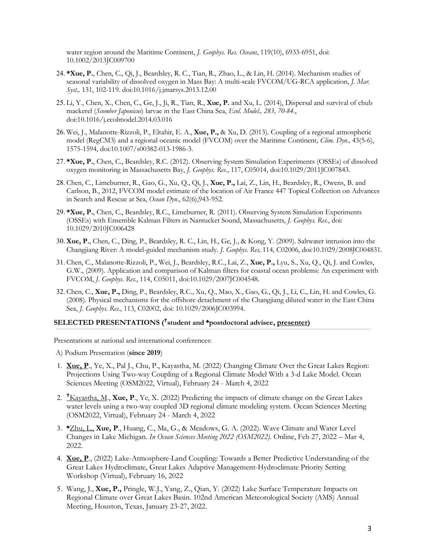water region around the Maritime Continent, *J. Geophys. Res. Oceans*, 119(10), 6933-6951, doi: 10.1002/2013JC009700

- 24. **\*Xue, P.**, Chen, C., Qi, J., Beardsley, R. C., Tian, R., Zhao, L., & Lin, H. (2014). Mechanism studies of seasonal variability of dissolved oxygen in Mass Bay: A multi-scale FVCOM/UG-RCA application, *J. Mar. Syst.,* 131, 102-119. doi:10.1016/j.jmarsys.2013.12.00
- 25. Li, Y., Chen, X., Chen, C., Ge, J., Ji, R., Tian, R., **Xue, P.** and Xu, L. (2014), Dispersal and survival of chub mackerel (*Scomber Japonicus*) larvae in the East China Sea, *Ecol. Model., 283, 70-84.*, doi:10.1016/j.ecolmodel.2014.03.016
- 26. Wei, J., Malanotte-Rizzoli, P., Eltahir, E. A., **Xue, P.,** & Xu, D. (2013). Coupling of a regional atmospheric model (RegCM3) and a regional oceanic model (FVCOM) over the Maritime Continent*, Clim. Dyn.,* 43(5-6), 1575-1594, doi:10.1007/s00382-013-1986-3.
- 27. **\*Xue, P.**, Chen, C., Beardsley, R.C. (2012). Observing System Simulation Experiments (OSSEs) of dissolved oxygen monitoring in Massachusetts Bay, *J. Geophys. Res.*, 117, C05014, doi:10.1029/2011JC007843.
- 28. Chen, C., Limeburner, R., Gao, G., Xu, Q., Qi, J., **Xue, P.,** Lai, Z., Lin, H., Beardsley, R., Owens, B. and Carlson, B., 2012, FVCOM model estimate of the location of Air France 447 Topical Collection on Advances in Search and Rescue at Sea, *Ocean Dyn*., 62(6),943-952.
- 29. **\*Xue, P.**, Chen, C., Beardsley, R.C., Limeburner, R. (2011). Observing System Simulation Experiments (OSSEs) with Ensemble Kalman Filters in Nantucket Sound, Massachusetts, *J. Geophys. Res.*, doi: 10.1029/2010JC006428
- 30.**Xue, P.**, Chen, C., Ding, P., Beardsley, R. C., Lin, H., Ge, J., & Kong, Y. (2009). Saltwater intrusion into the Changjiang River: A model-guided mechanism study. *J. Geophys. Res,* 114, C02006, doi:10.1029/2008JC004831.
- 31. Chen, C., Malanotte-Rizzoli, P., Wei, J., Beardsley, R.C., Lai, Z., **Xue, P.,** Lyu, S., Xu, Q., Qi, J. and Cowles, G.W., (2009). Application and comparison of Kalman filters for coastal ocean problems: An experiment with FVCOM, *J. Geophys. Res.*, 114, C05011, doi:10.1029/2007JC004548.
- 32. Chen, C., **Xue, P.,** Ding, P., Beardsley, R.C., Xu, Q., Mao, X., Gao, G., Qi, J., Li, C., Lin, H. and Cowles, G. (2008). Physical mechanisms for the offshore detachment of the Changjiang diluted water in the East China Sea, *J. Geophys. Res.*, 113, C02002, doi: 10.1029/2006JC003994.

## **SELECTED PRESENTATIONS (** ♱**student and ♣postdoctoral advisee, presenter)**

Presentations at national and international conferences:

A) Podium Presentation (**since 2019**)

- 1. **Xue, P**., Ye, X., Pal J., Chu, P., Kayastha, M. (2022) Changing Climate Over the Great Lakes Region: Projections Using Two-way Coupling of a Regional Climate Model With a 3-d Lake Model. Ocean Sciences Meeting (OSM2022, Virtual), February 24 - March 4, 2022
- 2. ♱ Kayastha, M., **Xue, P**., Ye, X. (2022) Predicting the impacts of climate change on the Great Lakes water levels using a two-way coupled 3D regional climate modeling system. Ocean Sciences Meeting (OSM2022, Virtual), February 24 - March 4, 2022
- 3. **♣**Zhu, L., **Xue, P**., Huang, C., Ma, G., & Meadows, G. A. (2022). Wave Climate and Water Level Changes in Lake Michigan. *In Ocean Sciences Meeting 2022 (OSM2022).* Online, Feb 27, 2022 – Mar 4, 2022.
- 4. **Xue, P**., (2022) Lake-Atmosphere-Land Coupling: Towards a Better Predictive Understanding of the Great Lakes Hydroclimate, Great Lakes Adaptive Management-Hydroclimate Priority Setting Workshop (Virtual), February 16, 2022
- 5. Wang, J., **Xue, P.,** Pringle, W.J., Yang, Z., Qian, Y. (2022) Lake Surface Temperature Impacts on Regional Climate over Great Lakes Basin. 102nd American Meteorological Society (AMS) Annual Meeting, Houston, Texas, January 23-27, 2022.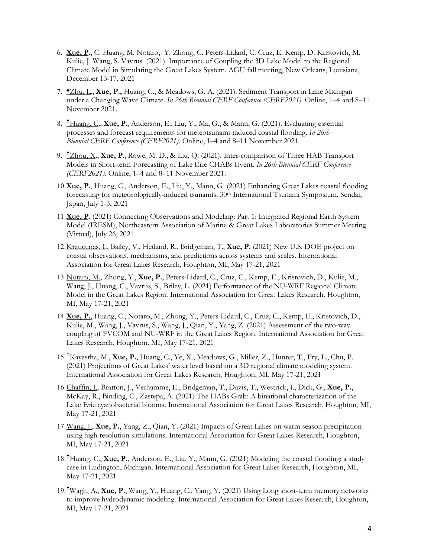- 6. **Xue, P.**, C. Huang, M. Notaro, Y. Zhong, C. Peters-Lidard, C. Cruz, E. Kemp, D. Kristovich, M. Kulie, J. Wang, S. Vavrus(2021). Importance of Coupling the 3D Lake Model to the Regional Climate Model in Simulating the Great Lakes System. AGU fall meeting, New Orleans, Louisiana, December 13-17, 2021
- 7. **♣**Zhu, L., **Xue, P.,** Huang, C., & Meadows, G. A. (2021). Sediment Transport in Lake Michigan under a Changing Wave Climate. *In 26th Biennial CERF Conference (CERF2021)*. Online, 1–4 and 8–11 November 2021.
- 8. ♱ Huang, C., **Xue, P**., Anderson, E., Liu, Y., Ma, G., & Mann, G. (2021). Evaluating essential processes and forecast requirements for meteotsunami-induced coastal flooding. *In 26th Biennial CERF Conference (CERF2021)*. Online, 1–4 and 8–11 November 2021
- 9. ♱ Zhou, X., **Xue, P**., Rowe, M. D., & Liu, Q. (2021). Inter-comparison of Three HAB Transport Models in Short-term Forecasting of Lake Erie CHABs Event. *In 26th Biennial CERF Conference (CERF2021)*. Online, 1–4 and 8–11 November 2021.
- 10.**Xue, P.**, Huang, C., Anderson, E., Liu, Y., Mann, G. (2021) Enhancing Great Lakes coastal flooding forecasting for meteorologically-induced tsunamis. 30th International Tsunami Symposium, Sendai, Japan, July 1-3, 2021
- 11.**Xue, P.** (2021) Connecting Observations and Modeling: Part 1: Integrated Regional Earth System Model (IRESM), Northeastern Association of Marine & Great Lakes Laboratories Summer Meeting (Virtual), July 26, 2021
- 12.Kraucunas, I., Bailey, V., Hetland, R., Bridgeman, T., **Xue, P.** (2021) New U.S. DOE project on coastal observations, mechanisms, and predictions across systems and scales. International Association for Great Lakes Research, Houghton, MI, May 17-21, 2021
- 13.Notaro, M., Zhong, Y., **Xue, P.**, Peters-Lidard, C., Cruz, C., Kemp, E., Kristovich, D., Kulie, M., Wang, J., Huang, C., Vavrus, S., Briley, L. (2021) Performance of the NU-WRF Regional Climate Model in the Great Lakes Region. International Association for Great Lakes Research, Houghton, MI, May 17-21, 2021
- 14.**Xue, P.**, Huang, C., Notaro, M., Zhong, Y., Peters-Lidard, C., Cruz, C., Kemp, E., Kristovich, D., Kulie, M., Wang, J., Vavrus, S., Wang, J., Qian, Y., Yang, Z. (2021) Assessment of the two-way coupling of FVCOM and NU-WRF in the Great Lakes Region. International Association for Great Lakes Research, Houghton, MI, May 17-21, 2021
- 15.♱ Kayastha, M., **Xue, P.**, Huang, C., Ye, X., Meadows, G., Miller, Z., Hunter, T., Fry, L., Chu, P. (2021) Projections of Great Lakes' water level based on a 3D regional climate modeling system. International Association for Great Lakes Research, Houghton, MI, May 17-21, 2021
- 16.Chaffin, J., Bratton, J., Verhamme, E., Bridgeman, T., Davis, T., Westrick, J., Dick, G., **Xue, P.**, McKay, R., Binding, C., Zastepa, A. (2021) The HABs Grab: A binational characterization of the Lake Erie cyanobacterial blooms. International Association for Great Lakes Research, Houghton, MI, May 17-21, 2021
- 17.Wang, J., **Xue, P.**, Yang, Z., Qian, Y. (2021) Impacts of Great Lakes on warm season precipitation using high resolution simulations. International Association for Great Lakes Research, Houghton, MI, May 17-21, 2021
- 18.♱ Huang, C., **Xue, P.**, Anderson, E., Liu, Y., Mann, G. (2021) Modeling the coastal flooding: a study case in Ludington, Michigan. International Association for Great Lakes Research, Houghton, MI, May 17-21, 2021
- 19.♱ Wagh, A., **Xue, P.**, Wang, Y., Huang, C., Yang, Y. (2021) Using Long short-term memory networks to improve hydrodynamic modeling. International Association for Great Lakes Research, Houghton, MI, May 17-21, 2021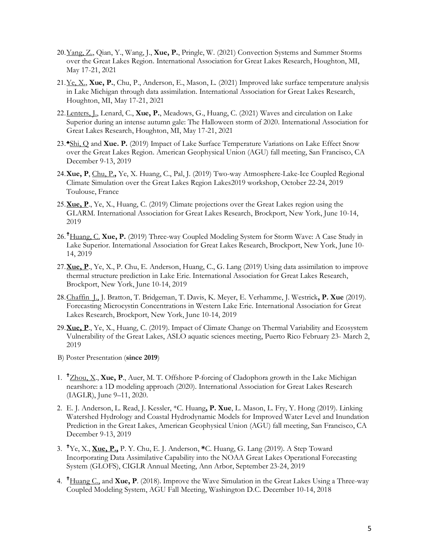- 20.Yang, Z., Qian, Y., Wang, J., **Xue, P.**, Pringle, W. (2021) Convection Systems and Summer Storms over the Great Lakes Region. International Association for Great Lakes Research, Houghton, MI, May 17-21, 2021
- 21.Ye, X., **Xue, P.**, Chu, P., Anderson, E., Mason, L. (2021) Improved lake surface temperature analysis in Lake Michigan through data assimilation. International Association for Great Lakes Research, Houghton, MI, May 17-21, 2021
- 22.Lenters, J., Lenard, C., **Xue, P.**, Meadows, G., Huang, C. (2021) Waves and circulation on Lake Superior during an intense autumn gale: The Halloween storm of 2020. International Association for Great Lakes Research, Houghton, MI, May 17-21, 2021
- 23.**♣**Shi, Q and **Xue. P.** (2019) Impact of Lake Surface Temperature Variations on Lake Effect Snow over the Great Lakes Region. American Geophysical Union (AGU) fall meeting, San Francisco, CA December 9-13, 2019
- 24.**Xue, P**, Chu, P.**,** Ye, X. Huang, C., Pal, J. (2019) Two-way Atmosphere-Lake-Ice Coupled Regional Climate Simulation over the Great Lakes Region Lakes2019 workshop, October 22-24, 2019 Toulouse, France
- 25.**Xue, P**., Ye, X., Huang, C. (2019) Climate projections over the Great Lakes region using the GLARM. International Association for Great Lakes Research, Brockport, New York, June 10-14, 2019
- 26.<sup>†</sup>Huang, C. Xue, P. (2019) Three-way Coupled Modeling System for Storm Wave: A Case Study in Lake Superior. International Association for Great Lakes Research, Brockport, New York, June 10- 14, 2019
- 27.**Xue, P**., Ye, X., P. Chu, E. Anderson, Huang, C., G. Lang (2019) Using data assimilation to improve thermal structure prediction in Lake Erie. International Association for Great Lakes Research, Brockport, New York, June 10-14, 2019
- 28.Chaffin J., J. Bratton, T. Bridgeman, T. Davis, K. Meyer, E. Verhamme, J. Westrick**, P. Xue** (2019). Forecasting Microcystin Concentrations in Western Lake Erie. International Association for Great Lakes Research, Brockport, New York, June 10-14, 2019
- 29.**Xue, P**., Ye, X., Huang, C. (2019). Impact of Climate Change on Thermal Variability and Ecosystem Vulnerability of the Great Lakes, ASLO aquatic sciences meeting, Puerto Rico February 23- March 2, 2019
- B) Poster Presentation (**since 2019**)
- 1. <sup>†</sup>Zhou, X., **Xue, P.**, Auer, M. T. Offshore P-forcing of Cladophora growth in the Lake Michigan nearshore: a 1D modeling approach (2020). International Association for Great Lakes Research (IAGLR), June 9–11, 2020.
- 2. E. J. Anderson, L. Read, J. Kessler, \*C. Huang**, P. Xue**, L. Mason, L. Fry, Y. Hong (2019). Linking Watershed Hydrology and Coastal Hydrodynamic Models for Improved Water Level and Inundation Prediction in the Great Lakes, American Geophysical Union (AGU) fall meeting, San Francisco, CA December 9-13, 2019
- 3. ♱ Ye, X., **Xue, P.,** P. Y. Chu, E. J. Anderson, **\***C. Huang, G. Lang (2019). A Step Toward Incorporating Data Assimilative Capability into the NOAA Great Lakes Operational Forecasting System (GLOFS), CIGLR Annual Meeting, Ann Arbor, September 23-24, 2019
- 4. ♱ Huang C., and **Xue, P**. (2018). Improve the Wave Simulation in the Great Lakes Using a Three-way Coupled Modeling System, AGU Fall Meeting, Washington D.C. December 10-14, 2018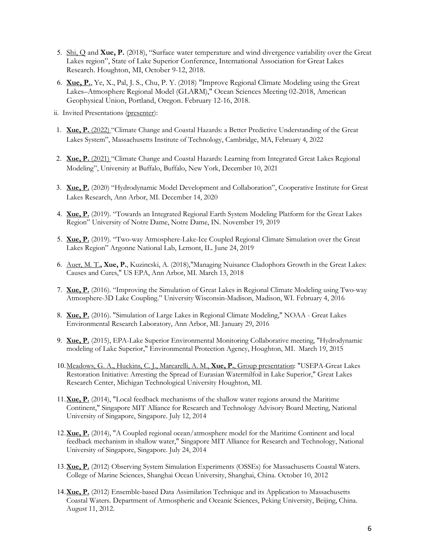- 5. Shi, Q and **Xue, P.** (2018), "Surface water temperature and wind divergence variability over the Great Lakes region", State of Lake Superior Conference, International Association for Great Lakes Research. Houghton, MI, October 9-12, 2018.
- 6. **Xue, P.**, Ye, X., Pal, J. S., Chu, P. Y. (2018) "Improve Regional Climate Modeling using the Great Lakes–Atmosphere Regional Model (GLARM)," Ocean Sciences Meeting 02-2018, American Geophysical Union, Portland, Oregon. February 12-16, 2018.
- ii. Invited Presentations (presenter):
- 1. **Xue, P.** (2022) "Climate Change and Coastal Hazards: a Better Predictive Understanding of the Great Lakes System", Massachusetts Institute of Technology, Cambridge, MA, February 4, 2022
- 2. **Xue, P.** (2021) "Climate Change and Coastal Hazards: Learning from Integrated Great Lakes Regional Modeling", University at Buffalo, Buffalo, New York, December 10, 2021
- 3. **Xue, P.** (2020) "Hydrodynamic Model Development and Collaboration", Cooperative Institute for Great Lakes Research, Ann Arbor, MI. December 14, 2020
- 4. **Xue, P.** (2019). "Towards an Integrated Regional Earth System Modeling Platform for the Great Lakes Region" University of Notre Dame, Notre Dame, IN. November 19, 2019
- 5. **Xue, P.** (2019). "Two-way Atmosphere-Lake-Ice Coupled Regional Climate Simulation over the Great Lakes Region" Argonne National Lab, Lemont, IL. June 24, 2019
- 6. Auer, M. T.**, Xue, P.**, Kuzincski, A. (2018),"Managing Nuisance Cladophora Growth in the Great Lakes: Causes and Cures," US EPA, Ann Arbor, MI. March 13, 2018
- 7. **Xue, P.** (2016). "Improving the Simulation of Great Lakes in Regional Climate Modeling using Two-way Atmosphere-3D Lake Coupling." University Wisconsin-Madison, Madison, WI. February 4, 2016
- 8. **Xue, P.** (2016). "Simulation of Large Lakes in Regional Climate Modeling," NOAA Great Lakes Environmental Research Laboratory, Ann Arbor, MI. January 29, 2016
- 9. **Xue, P.** (2015), EPA-Lake Superior Environmental Monitoring Collaborative meeting, "Hydrodynamic modeling of Lake Superior," Environmental Protection Agency, Houghton, MI. March 19, 2015
- 10.Meadows, G. A., Huckins, C. J., Marcarelli, A. M., **Xue, P.**, Group presentation: "USEPA-Great Lakes Restoration Initiative: Arresting the Spread of Eurasian Watermilfoil in Lake Superior," Great Lakes Research Center, Michigan Technological University Houghton, MI.
- 11.**Xue, P.** (2014), "Local feedback mechanisms of the shallow water regions around the Maritime Continent," Singapore MIT Alliance for Research and Technology Advisory Board Meeting, National University of Singapore, Singapore. July 12, 2014
- 12.**Xue, P.** (2014), "A Coupled regional ocean/atmosphere model for the Maritime Continent and local feedback mechanism in shallow water," Singapore MIT Alliance for Research and Technology, National University of Singapore, Singapore. July 24, 2014
- 13.**Xue, P.** (2012) Observing System Simulation Experiments (OSSEs) for Massachusetts Coastal Waters. College of Marine Sciences, Shanghai Ocean University, Shanghai, China. October 10, 2012
- 14.**Xue, P.** (2012) Ensemble-based Data Assimilation Technique and its Application to Massachusetts Coastal Waters. Department of Atmospheric and Oceanic Sciences, Peking University, Beijing, China. August 11, 2012.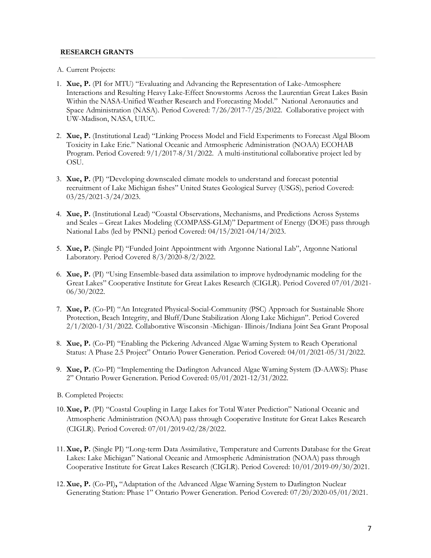### **RESEARCH GRANTS**

- A. Current Projects:
- 1. **Xue, P.** (PI for MTU) "Evaluating and Advancing the Representation of Lake-Atmosphere Interactions and Resulting Heavy Lake-Effect Snowstorms Across the Laurentian Great Lakes Basin Within the NASA-Unified Weather Research and Forecasting Model." National Aeronautics and Space Administration (NASA). Period Covered: 7/26/2017-7/25/2022. Collaborative project with UW-Madison, NASA, UIUC.
- 2. **Xue, P.** (Institutional Lead) "Linking Process Model and Field Experiments to Forecast Algal Bloom Toxicity in Lake Erie." National Oceanic and Atmospheric Administration (NOAA) ECOHAB Program. Period Covered: 9/1/2017-8/31/2022. A multi-institutional collaborative project led by OSU.
- 3. **Xue, P.** (PI) "Developing downscaled climate models to understand and forecast potential recruitment of Lake Michigan fishes" United States Geological Survey (USGS), period Covered: 03/25/2021-3/24/2023.
- 4. **Xue, P.** (Institutional Lead) "Coastal Observations, Mechanisms, and Predictions Across Systems and Scales – Great Lakes Modeling (COMPASS-GLM)" Department of Energy (DOE) pass through National Labs (led by PNNL) period Covered: 04/15/2021-04/14/2023.
- 5. **Xue, P.** (Single PI) "Funded Joint Appointment with Argonne National Lab", Argonne National Laboratory. Period Covered 8/3/2020-8/2/2022.
- 6. **Xue, P.** (PI) "Using Ensemble-based data assimilation to improve hydrodynamic modeling for the Great Lakes" Cooperative Institute for Great Lakes Research (CIGLR). Period Covered 07/01/2021- 06/30/2022.
- 7. **Xue, P.** (Co-PI) "An Integrated Physical-Social-Community (PSC) Approach for Sustainable Shore Protection, Beach Integrity, and Bluff/Dune Stabilization Along Lake Michigan". Period Covered 2/1/2020-1/31/2022. Collaborative Wisconsin -Michigan- Illinois/Indiana Joint Sea Grant Proposal
- 8. **Xue, P.** (Co-PI) "Enabling the Pickering Advanced Algae Warning System to Reach Operational Status: A Phase 2.5 Project" Ontario Power Generation. Period Covered: 04/01/2021-05/31/2022.
- 9. **Xue, P.** (Co-PI) "Implementing the Darlington Advanced Algae Warning System (D-AAWS): Phase 2" Ontario Power Generation. Period Covered: 05/01/2021-12/31/2022.
- B. Completed Projects:
- 10.**Xue, P.** (PI) "Coastal Coupling in Large Lakes for Total Water Prediction" National Oceanic and Atmospheric Administration (NOAA) pass through Cooperative Institute for Great Lakes Research (CIGLR). Period Covered: 07/01/2019-02/28/2022.
- 11.**Xue, P.** (Single PI) "Long-term Data Assimilative, Temperature and Currents Database for the Great Lakes: Lake Michigan" National Oceanic and Atmospheric Administration (NOAA) pass through Cooperative Institute for Great Lakes Research (CIGLR). Period Covered: 10/01/2019-09/30/2021.
- 12.**Xue, P.** (Co-PI)**,** "Adaptation of the Advanced Algae Warning System to Darlington Nuclear Generating Station: Phase 1" Ontario Power Generation. Period Covered: 07/20/2020-05/01/2021.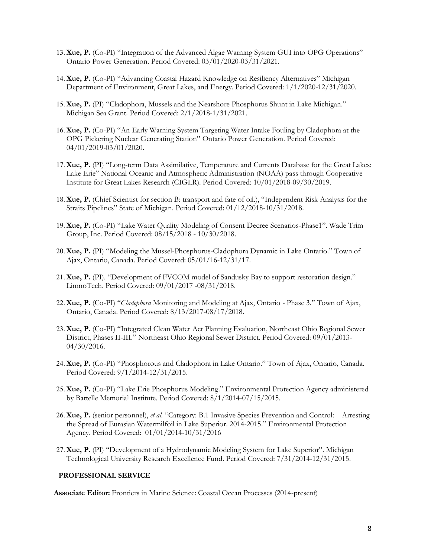- 13.**Xue, P.** (Co-PI) "Integration of the Advanced Algae Warning System GUI into OPG Operations" Ontario Power Generation. Period Covered: 03/01/2020-03/31/2021.
- 14.**Xue, P.** (Co-PI) "Advancing Coastal Hazard Knowledge on Resiliency Alternatives" Michigan Department of Environment, Great Lakes, and Energy. Period Covered: 1/1/2020-12/31/2020.
- 15.**Xue, P.** (PI) "Cladophora, Mussels and the Nearshore Phosphorus Shunt in Lake Michigan." Michigan Sea Grant. Period Covered: 2/1/2018-1/31/2021.
- 16.**Xue, P.** (Co-PI) "An Early Warning System Targeting Water Intake Fouling by Cladophora at the OPG Pickering Nuclear Generating Station" Ontario Power Generation. Period Covered: 04/01/2019-03/01/2020.
- 17.**Xue, P.** (PI) "Long-term Data Assimilative, Temperature and Currents Database for the Great Lakes: Lake Erie" National Oceanic and Atmospheric Administration (NOAA) pass through Cooperative Institute for Great Lakes Research (CIGLR). Period Covered: 10/01/2018-09/30/2019.
- 18.**Xue, P.** (Chief Scientist for section B: transport and fate of oil.), "Independent Risk Analysis for the Straits Pipelines" State of Michigan. Period Covered: 01/12/2018-10/31/2018.
- 19.**Xue, P.** (Co-PI) "Lake Water Quality Modeling of Consent Decree Scenarios-Phase1". Wade Trim Group, Inc. Period Covered: 08/15/2018 - 10/30/2018.
- 20.**Xue, P.** (PI) "Modeling the Mussel-Phosphorus-Cladophora Dynamic in Lake Ontario." Town of Ajax, Ontario, Canada. Period Covered: 05/01/16-12/31/17.
- 21.**Xue, P.** (PI). "Development of FVCOM model of Sandusky Bay to support restoration design." LimnoTech. Period Covered: 09/01/2017 -08/31/2018.
- 22.**Xue, P.** (Co-PI) "*Cladophora* Monitoring and Modeling at Ajax, Ontario Phase 3." Town of Ajax, Ontario, Canada. Period Covered: 8/13/2017-08/17/2018.
- 23.**Xue, P.** (Co-PI) "Integrated Clean Water Act Planning Evaluation, Northeast Ohio Regional Sewer District, Phases II-III." Northeast Ohio Regional Sewer District. Period Covered: 09/01/2013- 04/30/2016.
- 24.**Xue, P.** (Co-PI) "Phosphorous and Cladophora in Lake Ontario." Town of Ajax, Ontario, Canada. Period Covered: 9/1/2014-12/31/2015.
- 25.**Xue, P.** (Co-PI) "Lake Erie Phosphorus Modeling." Environmental Protection Agency administered by Battelle Memorial Institute. Period Covered: 8/1/2014-07/15/2015.
- 26.**Xue, P.** (senior personnel), *et al.* "Category: B.1 Invasive Species Prevention and Control: Arresting the Spread of Eurasian Watermilfoil in Lake Superior. 2014-2015." Environmental Protection Agency. Period Covered: 01/01/2014-10/31/2016
- 27.**Xue, P.** (PI) "Development of a Hydrodynamic Modeling System for Lake Superior". Michigan Technological University Research Excellence Fund. Period Covered: 7/31/2014-12/31/2015.

#### **PROFESSIONAL SERVICE**

**Associate Editor:** Frontiers in Marine Science: Coastal Ocean Processes (2014-present)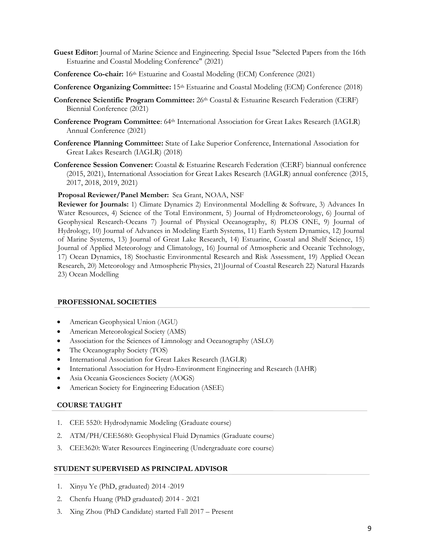- **Guest Editor:** Journal of Marine Science and Engineering. Special Issue "Selected Papers from the 16th Estuarine and Coastal Modeling Conference" (2021)
- **Conference Co-chair:** 16th Estuarine and Coastal Modeling (ECM) Conference (2021)
- **Conference Organizing Committee:** 15<sup>th</sup> Estuarine and Coastal Modeling (ECM) Conference (2018)
- **Conference Scientific Program Committee:** 26th Coastal & Estuarine Research Federation (CERF) Biennial Conference (2021)
- **Conference Program Committee**: 64<sup>th</sup> International Association for Great Lakes Research (IAGLR) Annual Conference (2021)
- **Conference Planning Committee:** State of Lake Superior Conference, International Association for Great Lakes Research (IAGLR) (2018)
- **Conference Session Convener:** Coastal & Estuarine Research Federation (CERF) biannual conference (2015, 2021), International Association for Great Lakes Research (IAGLR) annual conference (2015, 2017, 2018, 2019, 2021)

### **Proposal Reviewer/Panel Member:** Sea Grant, NOAA, NSF

**Reviewer for Journals:** 1) Climate Dynamics 2) Environmental Modelling & Software, 3) Advances In Water Resources, 4) Science of the Total Environment, 5) Journal of Hydrometeorology, 6) Journal of Geophysical Research-Oceans 7) Journal of Physical Oceanography, 8) PLOS ONE, 9) Journal of Hydrology, 10) Journal of Advances in Modeling Earth Systems, 11) Earth System Dynamics, 12) Journal of Marine Systems, 13) Journal of Great Lake Research, 14) Estuarine, Coastal and Shelf Science, 15) Journal of Applied Meteorology and Climatology, 16) Journal of Atmospheric and Oceanic Technology, 17) Ocean Dynamics, 18) Stochastic Environmental Research and Risk Assessment, 19) Applied Ocean Research, 20) Meteorology and Atmospheric Physics, 21)Journal of Coastal Research 22) Natural Hazards 23) Ocean Modelling

#### **PROFESSIONAL SOCIETIES**

- American Geophysical Union (AGU)
- American Meteorological Society (AMS)
- Association for the Sciences of Limnology and Oceanography (ASLO)
- The Oceanography Society (TOS)
- International Association for Great Lakes Research (IAGLR)
- International Association for Hydro-Environment Engineering and Research (IAHR)
- Asia Oceania Geosciences Society (AOGS)
- American Society for Engineering Education (ASEE)

## **COURSE TAUGHT**

- 1. CEE 5520: Hydrodynamic Modeling (Graduate course)
- 2. ATM/PH/CEE5680: Geophysical Fluid Dynamics (Graduate course)
- 3. CEE3620: Water Resources Engineering (Undergraduate core course)

#### **STUDENT SUPERVISED AS PRINCIPAL ADVISOR**

- 1. Xinyu Ye (PhD, graduated) 2014 -2019
- 2. Chenfu Huang (PhD graduated) 2014 2021
- 3. Xing Zhou (PhD Candidate) started Fall 2017 Present